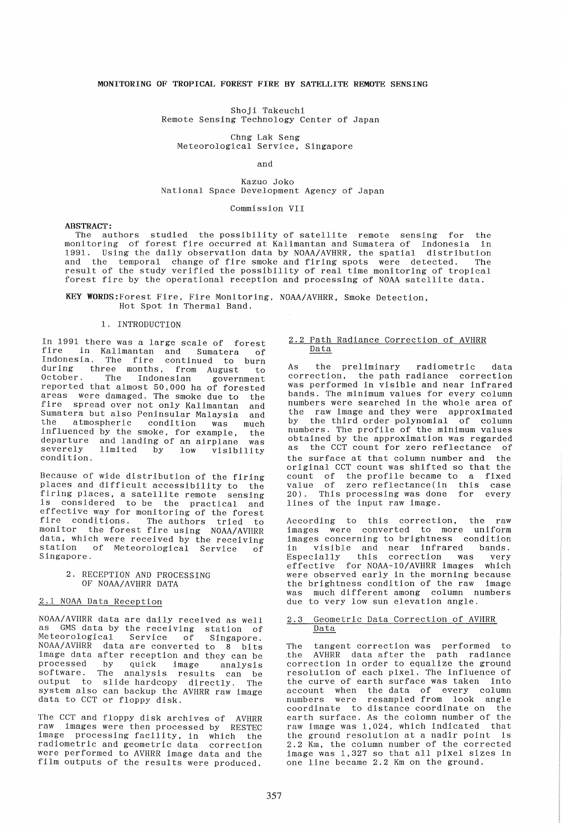# MONITORING OF TROPICAL FOREST FIRE BY SATELLITE REMOTE SENSING

Shoji Takeuchi Remote Sensing Technology Center of Japan

# Chng Lak Seng Meteorological Service, Singapore

# and

## Kazuo Joko National Space Development Agency of Japan

# Commission VII

#### ABSTRACT:

The authors studied the possibility of satellite remote sensing for the monitoring of forest fire occurred at Kalimantan and Sumatera of Indonesia in 1991. Using the daily observation data by NOAA/AVHRR. the spatial distribution and the temporal change of fire smoke and firing spots were detected. The result of the study verified the possibility of real time monitoring of tropical forest fire by the operational reception and processing of NOAA satellite data.

KEY WORDS:Forest Fire, Fire Monitoring, NOAA/AVHRR, Smoke Detection, Hot Spot in Thermal Band.

# 1. INTRODUCTION

In 1991 there was a large scale of forest The in Kalimantan and Sumatera of Indonesia. The fire continued to burn during three months, from August to October. The Indonesian government October. The Indonesian government<br>reported that almost 50,000 ha of forested areas were damaged. The smoke due to the fire spread over not only Kalimantan and Sumatera but also Peninsular Malaysia and Sumatera but also Peninsular Malaysia and<br>the atmospheric condition was much influenced by the smoke, for example, the departure and landing of an airplane was severely limited by low visibility severely<br>condition

Because of wide distribution of the firing places and difficult accessibility to the firing places, a satellite remote sensing is considered to be the practical and effective way for monitoring of the forest fire conditions. The authors tried to monitor the forest fire using NOAA/AVHRR data, which were received by the receiving station of Meteorological Service of Singapore.

> 2. RECEPTION AND PROCESSING OF NOAA/AVHRR DATA

# 2.1 NOAA Data Reception

NOAA/AVHRR data are daily received as well as GMS data by the receiving station of Meteorological Service of Singapore. Meteorological Service of Singapore.<br>NOAA/AVHRR data are converted to 8 bits image data after reception and they can be processed by quick Image analysis software. The analysis results can be output to slide hardcopy directly. The system also can backup the AVHRR raw image data to CCT or floppy disk.

The CCT and floppy dIsk archives of AVHRR raw images were then processed by RESTEC image processing facility, in which the radiometric and geometric data correction were performed to AVHRR image data and the film outputs of the results were produced.

### 2.2 Path Radiance CorrectIon of AVHRR Data

As the prelIminary radIometric data correction, the path radiance correction was performed in visIble and near infrared bands. The minimum values for every column numbers were searched in the whole area of the raw image and they were approximated by the third order polynomial of column numbers. The profile of the minimum values obtained by the approximation was regarded as the CCT count for zero reflectance of the surface at that column number and the original CCT count was shifted so that the count of the profile became to a fixed value of zero reflectance(in this case 20). This processing was done for every lines of the input raw image.

According to this correction, the raw images were converted to more uniform images concerning to brightness condition<br>in visible and near infrared bands. in visible and near infrared bands. Especially this correction was very effective for NOAA-10/AVHRR images which were observed early in the morning because the brightness condition of the raw Image was much different among column numbers due to very low sun elevation angle.

### 2.3 Geometric Data Correction of AVHRR Data

The tangent correction was performed to<br>the AVHRR data after the path radiance AVHRR data after the path radiance correction in order to equalize the ground resolution of each pIxel. The Influence of the curve of earth surface was taken into account when the data of every column numbers were resampled from look angle coordinate to dIstance coordInate on the earth surface. As the colomn number of the raw image was 1,024, whIch Indicated that the ground resolution at a nadir point is 2.2 Km, the column number of the corrected image was 1,327 so that all pixel sizes In one lIne became 2.2 Km on the ground.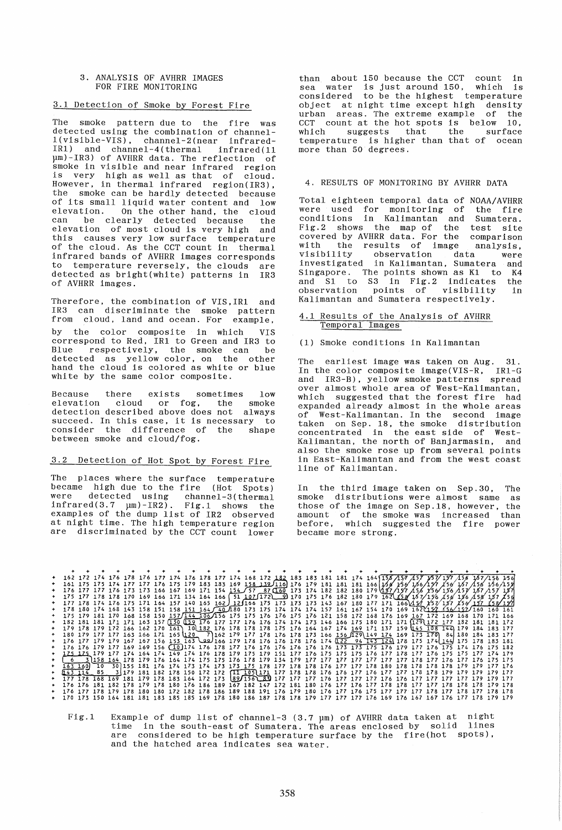### 3. ANALYSIS OF AVHRR IMAGES FOR FIRE MONITORING

## 3.1 Detection of Smoke by Forest Fire

The smoke pattern due to the fire was detected using the combination of channel-1(visible-VIS) , channel-2(near infrared-IR1) and channel-4(thermal infrared(11 pm)-IR3) of AVHRR data. The reflection of smoke in visible and near infrared region is very high as well as that of cloud. However. in thermal infrared region(IR3), the smoke can be hardly detected because of its small liquid water content and low elevation. On the other hand, the cloud<br>can be clearly detected because the can be clearly detected because the elevation of most cloud is very high and this causes very low surface temperature of the cloud. As the CCT count in thermal infrared bands of AVHRR images corresponds to temperature reversely, the clouds are detected as bright(white) patterns in IR3 of AVHRR images.

Therefore. the combination of VIS,IR1 and IR3 can discriminate the smoke pattern from cloud, land and ocean. For example. by the color composite in which VIS correspond to Red, IR1 to Green and IR3 to Blue respectively, the smoke can be detected as yellow color, on the other hand the cloud is colored as white or blue white by the same color composite.

Because there exists sometimes low elevation cloud or fog, the smoke detection described above does not always succeed. In this case, it is necessary to<br>consider the difference of the shape consider the difference of the between smoke and cloud/fog.

# 3.2 Detection of Hot Spot by Forest Fire

The places where the surface temperature became high due to the fire (Hot Spots) were detected using channel-3(thermal  $infrared(3.7 \mu m)-IR2)$ . Fig.1 shows the examples of the dump list of IR2 observed at night time. The high temperature region are discriminated by the CCT count lower

than about 150 because the CCT count in sea water is just around 150, which is considered to be the highest temperature object at night time except high density urban areas. The extreme example of the CCT count at the hot spots is below 10, which suggests that the surface temperature is higher than that of ocean more than 50 degrees.

# 4. RESULTS OF MONITORING BY AVHRR DATA

Total eighteen temporal data of NOAA/AVHRR were used for monitoring of conditions in Kalimantan and Sumatera. Fig.2 shows the map of the test site covered by AVHRR data. For the comparison with the results of image analysis, wisibility observation data were investigated in Kalimantan, Sumatera and Singapore. The points shown as K1 to K4 and S1 to S3 in Fig.2 indicates the observation points of visibility in Kalimantan and Sumatera respectively.

## 4.1 Results of the Analysis of AVHRR Temporal Images

(1) Smoke conditions in Kalimantan

The earliest image was taken on Aug. 31. In the color composite image(VIS-R, IR1-G and IR3-B), yellow smoke patterns spread over almost whole area of West-Kalimantan, which suggested that the forest fire had expanded already almost in the whole areas of West-Kalimantan. In the second image taken on Sep. 18, the smoke distribution concentrated in the east side of West-Kalimantan, the north of Banjarmasin, and also the smoke rose up from several points in East-Kalimantan and from the west coast line of Kalimantan.

In the third image taken on Sep.30, The smoke distributions were almost same as those of the image on Sep.18, however, the amount of the smoke was increased than before, which suggested the fire power became more strong.

|  |  |  |  |  |  |  |  |  |  |  |  |  |  | + 162 172 174 176 178 176 177 174 176 178 177 174 168 172 182 183 183 181 181 174 164 158 457 457 457 458 167 458 167 456 168           |  |
|--|--|--|--|--|--|--|--|--|--|--|--|--|--|-----------------------------------------------------------------------------------------------------------------------------------------|--|
|  |  |  |  |  |  |  |  |  |  |  |  |  |  | + 161 175 175 174 177 177 176 175 179 183 183 169 158 139/116] 176 179 181 181 181 166 166'166'166'166'167 166'166'166                  |  |
|  |  |  |  |  |  |  |  |  |  |  |  |  |  | + 176 177 177 176 173 173 166 167 169 171 154 154 57 87 160 173 174 182 182 180 179 (187 187 1856 1561 156 157 187 157 187              |  |
|  |  |  |  |  |  |  |  |  |  |  |  |  |  | + 175 177 178 178 170 169 166 171 134 164 166 51 107 172 9 170 175 176 182 180 179 162 158 157 156 156 158 157 156                      |  |
|  |  |  |  |  |  |  |  |  |  |  |  |  |  | +  177 178 174 176 175 171 164 157 140 165 162) 12∮166 175 173 173 173 143 167 180 177 171 166 $\lambda$ \$7 1⁄57/187 1⁄58/187 1⁄58/187 |  |
|  |  |  |  |  |  |  |  |  |  |  |  |  |  | + 178 180 174 168 143 158 151 158 151 164 740 180 173 175 174 174 174 157 161 167 154 170 169 1621122 156 1521160 160 161               |  |
|  |  |  |  |  |  |  |  |  |  |  |  |  |  | + 175 179 181 170 168 158 150 157/144 106/156 175 175 176 176 175 176 121 158 172 168 176 169 167 172 169 168 170 171 166               |  |
|  |  |  |  |  |  |  |  |  |  |  |  |  |  | + 182 181 181 171 171 163 157 (130 (159 176 177 177 176 176 174 174 173 146 166 175 180 171 171 (129) 172 177 182 181 181 172           |  |
|  |  |  |  |  |  |  |  |  |  |  |  |  |  | + 179 178 179 172 166 162 170 161 10 182 176 178 178 178 178 176 164 167 174 169 171 137 159 145 108 144 179 184 183 177                |  |
|  |  |  |  |  |  |  |  |  |  |  |  |  |  | + 180 179 177 177 163 166 171 165 120 $^{-}$ 7 162 179 177 178 176 178 173 166 156 129 149 174 169 173 170 84 180 184 183 177           |  |
|  |  |  |  |  |  |  |  |  |  |  |  |  |  | 181 183 181 175 174 144 175 178 183 181 178 179 179 179 179 178 176 1776 1774 122 174 175 1776 1776 1778 183 1                          |  |
|  |  |  |  |  |  |  |  |  |  |  |  |  |  | + 176 176 179 177 169 169 156 (10)174 176 178 177 176 176 176 176 176 176 177 177 178 179 177 177 1775 174 175 175 182                  |  |
|  |  |  |  |  |  |  |  |  |  |  |  |  |  | + 1Z5 1Z5 179 177 174 164 174 149 174 176 178 179 175 179 151 177 176 175 175 176 177 178 177 176 175 175 177 174 179                   |  |
|  |  |  |  |  |  |  |  |  |  |  |  |  |  | + [ 6 . 3]158 164 178 179 176 164 174 175 175 176 178 179 134 179 177 177 177 177 177 177 177 178 177 176 177 176 175 175               |  |
|  |  |  |  |  |  |  |  |  |  |  |  |  |  | +  163 160  10  30 155 181 176 174 173 174 173 173 175 178 177 178 178 176 177 177 178 180 178 178 178 178 179 179 177 176              |  |
|  |  |  |  |  |  |  |  |  |  |  |  |  |  | + 143 114 85 3 179 181 182 178 150 172 172 111 105 171 177 178 178 176 177 176 177 177 177 178 178 179 179 179 179 177                  |  |
|  |  |  |  |  |  |  |  |  |  |  |  |  |  |                                                                                                                                         |  |
|  |  |  |  |  |  |  |  |  |  |  |  |  |  | + 176 176 181 182 178 179 178 180 176 186 189 167 182 147 172 181 180 176 177 176 177 178 178 177 177 178 178 179 178                   |  |
|  |  |  |  |  |  |  |  |  |  |  |  |  |  | + 176 177 178 179 178 180 180 172 182 178 186 189 188 191 176 179 180 176 177 176 175 177 177 177 178 177 178 177 178 177               |  |
|  |  |  |  |  |  |  |  |  |  |  |  |  |  | + 170 173 150 164 181 181 183 185 185 169 178 180 186 187 178 178 179 177 177 177 176 169 176 167 167 176 177 178 179 179               |  |

Fig.1 Example of dump list of channel-3 (3.7  $\mu$ m) of AVHRR data taken at night Example of damp first of channers (3.7  $\mu$ m) of Aviana data cancel as angles  $\mu$ are considered to be high temperature surface by the fire(hot spots) , and the hatched area indicates sea water.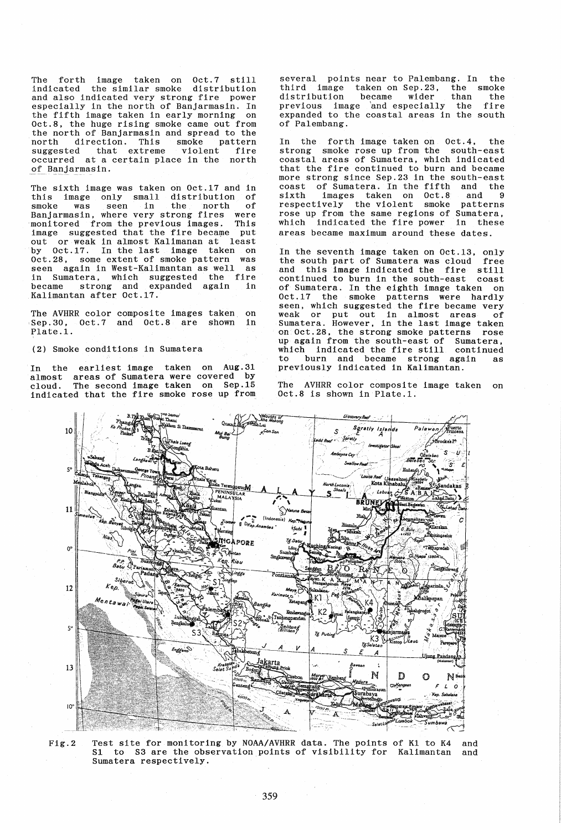The forth image taken on Oct.7 still indicated the similar smoke distribution and also indicated very strong fire power especially in the north of Banjarmasin. In the fifth image taken in early morning on Oct.8, the huge rising smoke came out from the north of Banjarmasin and spread to the north direction. This smoke pattern suggested that extreme violent fire occurred at a certain place in the north of Banjarmasin.

The sixth image was taken on Oct.17 and in this image only small distribution of smoke was seen in the north of smoke was seen in the north of<br>Banjarmasin, where very strong fires were<br>monitored from the previous images. This monitored from the previous images. This<br>image suggested that the fire became put image suggested that the fire became out or weak in almost Kalimanan at least oct.28, some extent of smoke pattern was<br>seen again in West-Kalimantan as well as seen again in West-Kalimantan as well in Sumatera, which suggested the fire became strong and expanded again in Kalimantan after Oct.17.

The AVHRR color composite images taken on<br>Sep.30, 0ct.7 and 0ct.8 are shown in 0ct.7 and 0ct.8 are shown Plate.1.

(2) Smoke conditions in Sumatera

In the earliest image taken on Aug.31 almost areas of Sumatera were covered by cloud. The second image taken on Sep.15 indicated that the fire smoke rose up from

several points near to Palembang. In the third image taken on Sep.23. the smoke distribution became wider than the distribution became wider than the<br>previous image and especially the fire expanded to the coastal areas in the south of Palembang.

In the forth image taken on Oct.4, the strong smoke rose up from the south-east coastal areas of Sumatera, which indicated that the fire continued to burn and became more strong since Sep.23 in the south-east coast of Sumatera. In the fifth and the sixth images taken on Oct.8 and 9 respectively the violent smoke patterns respectively the violent smoke patterns<br>rose up from the same regions of Sumatera,<br>which indicated the fire power in these which indicated the fire power in areas became maximum around these dates.

In the seventh image taken on Oct.13, only the south part of Sumatera was cloud free and this image indicated the fire still continued to burn in the south-east coast of Sumatera. In the eighth image taken on Oct.17 the smoke patterns were hardly seen, which suggested the fire became very weak or put out in almost areas of Sumatera. However, in the last image taken on Oct.28, the strong smoke patterns rose up again from the south-east of Sumatera, which indicated the fire still continued<br>to burn and became strong again as to burn and became strong again previously indicated in Kalimantan.

The AVHRR color composite image taken on Oct.8 is shown in Plate.1.



Fig.2 Test site for monitoring by NOAA/AVHRR data. The points of K1 to K4 Sl to S3 are the observation points of visibility for Kalimantan Sumatera respectively. and and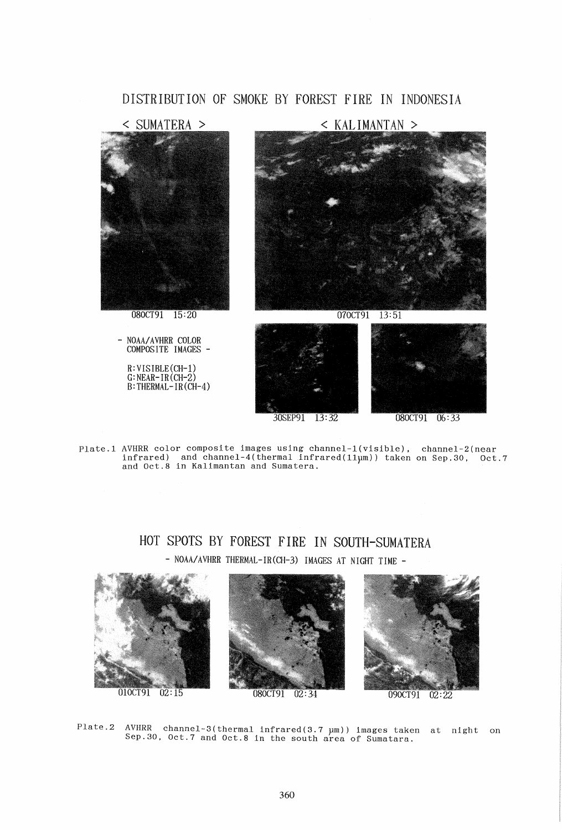# DISTRIBUTION OF SMOKE BY FOREST FIRE IN INDONESIA



Plate.l AVHRR color composite images using channel-l(visible). channel-2(near infrared) and channel-4(thermal infrared(11µm)) taken on Sep.30, Oct.7 and Oct.8 in Kalimantan and Sumatera.

# HOT SPOTS BY FOREST FIRE IN SOUTH-SUMATERA - NOAA/AVHRR THERMAL-IR(CH-3) IMAGES AT NIGHT TIME -



Plate.2 AVHRR channel-3(thermal infrared(3.7 µm)) images taken at night on Sep.30,  $0ct.7$  and  $0ct.8$  in the south area of Sumatara.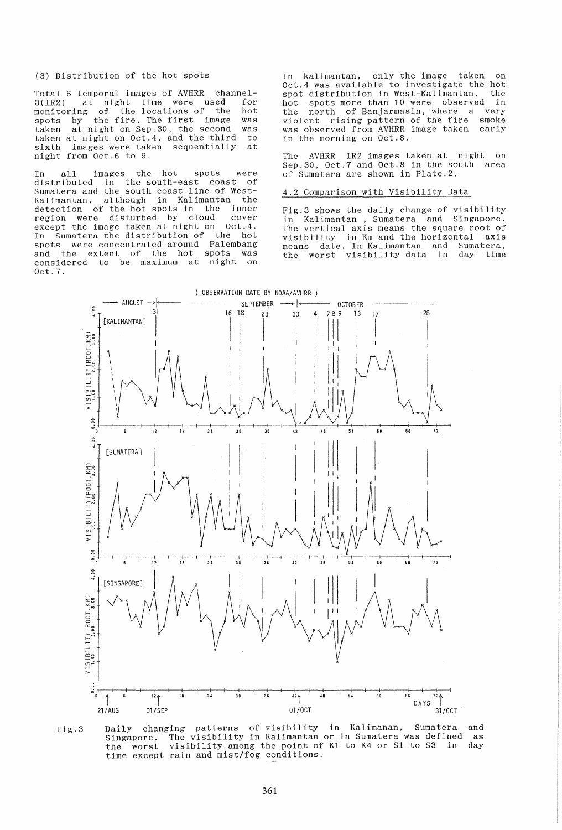## (3) Distribution of the hot spots

Total 6 temporal images of AVHRR channel-<br>3(IR2) at night time were used for at night time were used for<br>ng of the locations of the hot monitoring of the locations of the hot spots by the fire. The first image was taken at night on Sep.30, the second was<br>taken at night on Oct 4 and the third to taken at night on Oct.4, and the third to<br>sixth images were taken sequentially at sixth images were taken sequentially night from Oct.6 to 9.

In all images the hot spots were distributed in the south-east coast of Sumatera and the south coast line of West-<br>Kalimantan, although in Kalimantan the Kalimantan, although in Kalimantan detection of the hot spots in the inner<br>region were disturbed by cloud cover region were disturbed by cloud cover<br>except the image taken at night on Oct.4. except the image taken at night on In Sumatera the distribution of the hot spots were concentrated around Palembang and the extent of the hot spots was considered to be maximum at night on Oct.7.

on Oct.4 was available to investigate the hot the In kalimantan, only the image taken spot distribution in West-Kalimantan. hot spots more than 10 were observed in the north of Banjarmasin, where a violent rising pattern of the fire was observed from AVHRR image taken very smoke early in the morning on Oct.S.

The AVHRR IR2 images taken at night on Sep.30, Oct.7 and Oct.S in the south area of Sumatera are shown in Plate.2.

# 4.2 Comparison with Visibility Data

Fig.3 shows the daily change of visibility in Kalimantan, Sumatera and Singapore. The vertical axis means the square root of visibility in Km and the horizontal axis means date. In Kalimantan and Sumatera, the worst visibility data in day time



Daily changing patterns of visibility in Kalimanan, Sumatera and Fig.3 Singapore. The visibility in Kalimantan or in Sumatera was defined as<br>the worst visibility among the point of K1 to K4 or S1 to S3 in day time except rain and mist/fog conditions.